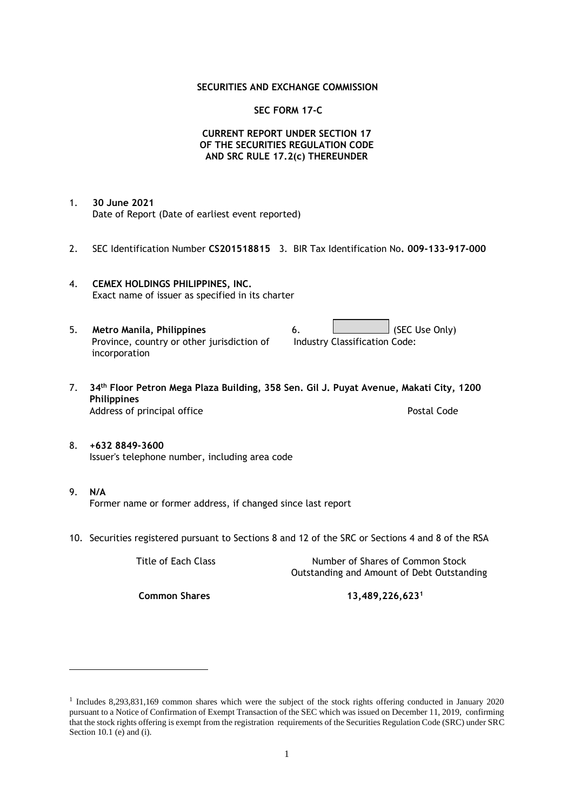### **SECURITIES AND EXCHANGE COMMISSION**

### **SEC FORM 17-C**

### **CURRENT REPORT UNDER SECTION 17 OF THE SECURITIES REGULATION CODE AND SRC RULE 17.2(c) THEREUNDER**

- 1. **30 June 2021** Date of Report (Date of earliest event reported)
- 2. SEC Identification Number **CS201518815** 3. BIR Tax Identification No**. 009-133-917-000**
- 4. **CEMEX HOLDINGS PHILIPPINES, INC.** Exact name of issuer as specified in its charter
- 5. **Metro Manila, Philippines** 6. **Consumers 6.** (SEC Use Only) Province, country or other jurisdiction of incorporation Industry Classification Code:
- 7. **34th Floor Petron Mega Plaza Building, 358 Sen. Gil J. Puyat Avenue, Makati City, 1200 Philippines** Address of principal office **Postal Code** Postal Code
- 8. **+632 8849-3600** Issuer's telephone number, including area code
- 9. **N/A** Former name or former address, if changed since last report
- 10. Securities registered pursuant to Sections 8 and 12 of the SRC or Sections 4 and 8 of the RSA

Title of Each Class Number of Shares of Common Stock Outstanding and Amount of Debt Outstanding

**Common Shares 13,489,226,623<sup>1</sup>**

<sup>1</sup> Includes 8,293,831,169 common shares which were the subject of the stock rights offering conducted in January 2020 pursuant to a Notice of Confirmation of Exempt Transaction of the SEC which was issued on December 11, 2019, confirming that the stock rights offering is exempt from the registration requirements of the Securities Regulation Code (SRC) under SRC Section 10.1 (e) and (i).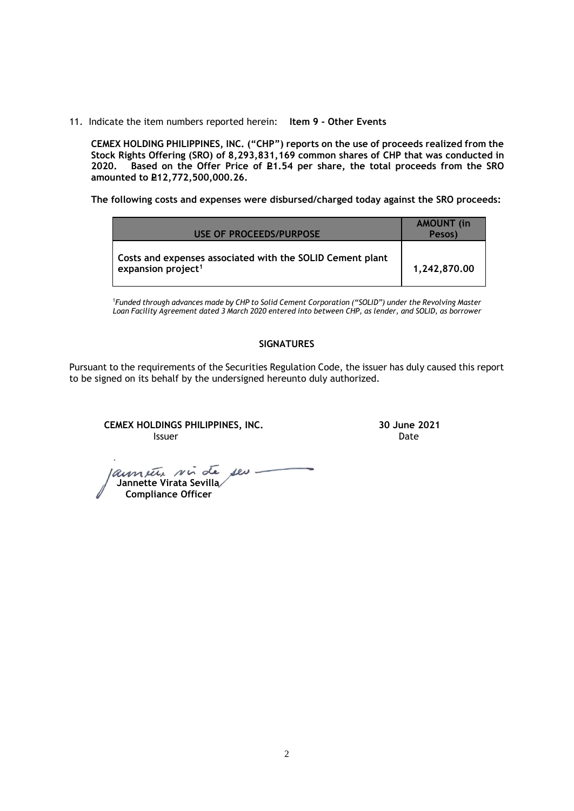11. Indicate the item numbers reported herein: **Item 9 - Other Events**

**CEMEX HOLDING PHILIPPINES, INC. ("CHP") reports on the use of proceeds realized from the Stock Rights Offering (SRO) of 8,293,831,169 common shares of CHP that was conducted in**  Based on the Offer Price of £1.54 per share, the total proceeds from the SRO **amounted to P12,772,500,000.26.** 

**The following costs and expenses were disbursed/charged today against the SRO proceeds:**

| USE OF PROCEEDS/PURPOSE                                                                     | <b>AMOUNT</b> (in<br>Pesos) |
|---------------------------------------------------------------------------------------------|-----------------------------|
| Costs and expenses associated with the SOLID Cement plant<br>expansion project <sup>1</sup> | 1,242,870.00                |

<sup>1</sup>*Funded through advances made by CHP to Solid Cement Corporation ("SOLID") under the Revolving Master Loan Facility Agreement dated 3 March 2020 entered into between CHP, as lender, and SOLID, as borrower*

# **SIGNATURES**

Pursuant to the requirements of the Securities Regulation Code, the issuer has duly caused this report to be signed on its behalf by the undersigned hereunto duly authorized.

**CEMEX HOLDINGS PHILIPPINES, INC. 30 June 2021 Issuer Date of the Community of the Community Community Community Community Community Community Community Community** 

launier sir de seu.  **Jannette Virata Sevilla Compliance Officer**